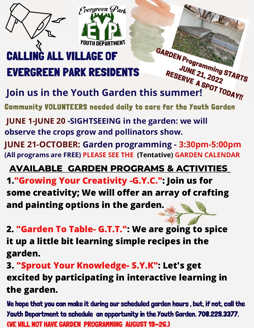

### *<b>ALL VILLAGE OF* **EVERGREEN PARK RESIDENTS**

GARDEN Programming STARTS JUNE 21, 2022<br>ERVE 21, 2022 RESERVE 21, 2022<br>IMME 21, 2022<br>UMME A SPOT TODAY! Join us in the Youth Garden this summer!

**Community VOLUNTEERS needed daily ta care far the Youth Garden** 

WALK

**JUNE 1-JUNE 20 -SIGHTSEEING in the garden: we will observe the crops grow and pollinators show.** 

*<u>Frergreen</u>* Park

**JUNE 21-OCTOBER: Garden programming - 3:30pm-5:00pm (All programs are FREE) PLEASE SEE THE (Tentative) GARDEN CALENDAR** 

### **AVAILABLE CARDEN PROCRAMS & ACTIVITIES**

**1."Growing Your Creativity-G.Y.C.": Join us for some creativity: We will offer an array of crafting and painting options in the garden. �** 

**�** . . **2. "Garden To Table- G.T.T.": We are going to spice it up a little bit learning simple recipes in the garden.**

**3. "Sprout Your Knowledge- S.Y.K": Let's get excited by participating in interactive learning in the garden.**

**lie hope that you can make it during our scheduled garden hours , but. if not. call the Youth Department ta schedule an opportunity in the Youth Garden. 708.229.3377. (VE WILL NOT HAVE GARDEN PROGRANIIING AUGUST 19-2G.J**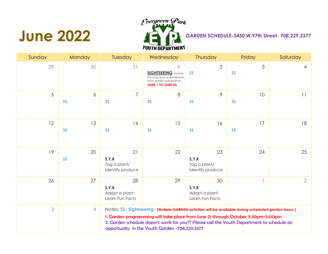### **June 2022**



| Sunday | Monday          | Tuesday                                          | Wednesday                                                                                                                                                                                                                                                                                                                             | <b>Thursday</b>                                  | Friday          | Saturday       |
|--------|-----------------|--------------------------------------------------|---------------------------------------------------------------------------------------------------------------------------------------------------------------------------------------------------------------------------------------------------------------------------------------------------------------------------------------|--------------------------------------------------|-----------------|----------------|
| 29     | 30              | 31                                               | <b>SIGHTSEEING</b> observe<br>the crops grow and pollinators<br>show; garden maintenance<br><b>JUNE 1 TO JUNE 20</b>                                                                                                                                                                                                                  | $\overline{2}$<br><b>SS</b>                      | 3<br><b>SS</b>  | 4              |
| 5      | 6<br><b>SS</b>  | $\overline{7}$<br><b>SS</b>                      | 8<br><b>SS</b>                                                                                                                                                                                                                                                                                                                        | 9<br><b>SS</b>                                   | 10<br><b>SS</b> | 11             |
| 12     | 13<br><b>SS</b> | 14<br><b>SS</b>                                  | 15<br><b>SS</b>                                                                                                                                                                                                                                                                                                                       | 16<br><b>SS</b>                                  | 17<br><b>SS</b> | 18             |
| 19     | 20<br><b>SS</b> | 21<br>S.Y.K<br>Tag a plant/<br>Identify produce  | 22                                                                                                                                                                                                                                                                                                                                    | 23<br>S.Y.K<br>Tag a plant/<br>Identify produce  | 24              | 25             |
| 26     | 27              | 28<br>S.Y.K<br>Adopt a plant:<br>Learn Fun Facts | 29                                                                                                                                                                                                                                                                                                                                    | 30<br>S.Y.K<br>Adopt a plant:<br>Learn Fun Facts |                 | $\overline{2}$ |
| 3      | $\overline{4}$  |                                                  | Notes: SS- Sightseeing- (Mutiple GARDEN activities will be available during scheduled garden hours)<br>1. Garden programming will take place from June 21 through October 3:30pm-5:00pm<br>2. Garden schedule doesn't work for you?? Please call the Youth Department to schedule an<br>opportunity in the Youth Garden -708.229.3377 |                                                  |                 |                |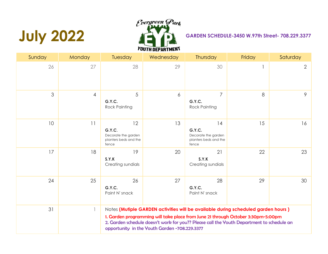# **July 2022**



| Sunday | <b>Monday</b>  | Tuesday                                                               | Wednesday                                     | <b>Thursday</b>                                                                                                                                                                                                                                                    | Friday | Saturday       |
|--------|----------------|-----------------------------------------------------------------------|-----------------------------------------------|--------------------------------------------------------------------------------------------------------------------------------------------------------------------------------------------------------------------------------------------------------------------|--------|----------------|
| 26     | 27             | 28                                                                    | 29                                            | 30                                                                                                                                                                                                                                                                 |        | $\overline{2}$ |
| 3      | $\overline{4}$ | 5<br>G.Y.C.<br><b>Rock Painting</b>                                   | 6                                             | $\overline{7}$<br>G.Y.C.<br><b>Rock Painting</b>                                                                                                                                                                                                                   | 8      | 9              |
| 10     | 11             | 12<br>G.Y.C.<br>Decorate the garden<br>planters beds and the<br>fence | 13                                            | 14<br>G.Y.C.<br>Decorate the garden<br>planters beds and the<br>fence                                                                                                                                                                                              | 15     | 16             |
| 17     | 18             | 19<br>S.Y.K<br>Creating sundials                                      | 20                                            | 21<br>S.Y.K<br>Creating sundials                                                                                                                                                                                                                                   | 22     | 23             |
| 24     | 25             | 26<br>G.Y.C.<br>Paint N' snack                                        | 27                                            | 28<br>G.Y.C.<br>Paint N' snack                                                                                                                                                                                                                                     | 29     | 30             |
| 31     | $\mathbb{I}$   |                                                                       | opportunity in the Youth Garden -708.229.3377 | Notes (Mutiple GARDEN activities will be available during scheduled garden hours)<br>1. Garden programming will take place from June 21 through October 3:30pm-5:00pm<br>2. Garden schedule doesn't work for you?? Please call the Youth Department to schedule an |        |                |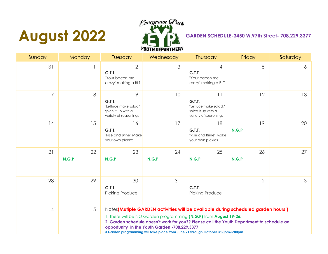# **August 2022**



| Sunday         | Monday      | Tuesday                                                                             | Wednesday                                     | Thursday                                                                                                                                                                                                                                                                                                                              | Friday         | Saturday |
|----------------|-------------|-------------------------------------------------------------------------------------|-----------------------------------------------|---------------------------------------------------------------------------------------------------------------------------------------------------------------------------------------------------------------------------------------------------------------------------------------------------------------------------------------|----------------|----------|
| 31             |             | $\overline{2}$<br>G.I.I.<br>"Your bacon me<br>crazy" making a BLT                   | 3                                             | 4<br>G.T.T.<br>"Your bacon me<br>crazy" making a BLT                                                                                                                                                                                                                                                                                  | 5              | 6        |
| 7              | 8           | 9<br>G.T.T.<br>"Lettuce make salad."<br>spice it up with a<br>variety of seasonings | 10                                            | 11<br>G.T.T.<br>"Lettuce make salad."<br>spice it up with a<br>variety of seasonings                                                                                                                                                                                                                                                  | 12             | 13       |
| 14             | 15          | 16<br>G.T.T.<br>"Rise and Brine" Make<br>your own pickles                           | 17                                            | 18<br><b>G.T.T.</b><br>"Rise and Brine" Make<br>your own pickles                                                                                                                                                                                                                                                                      | 19<br>N.G.P    | 20       |
| 21             | 22<br>N.G.P | 23<br>N.G.P                                                                         | 24<br>N.G.P                                   | 25<br>N.G.P                                                                                                                                                                                                                                                                                                                           | 26<br>N.G.P    | 27       |
| 28             | 29          | 30<br>G.T.T.<br>Picking Produce                                                     | 31                                            | G.T.T.<br>Picking Produce                                                                                                                                                                                                                                                                                                             | $\overline{2}$ | 3        |
| $\overline{4}$ | 5           |                                                                                     | opportunity in the Youth Garden -708.229.3377 | Notes(Mutiple GARDEN activities will be available during scheduled garden hours)<br>1. There will be NO Garden programming (N.G.P) from August 19-26.<br>2. Garden schedule doesn't work for you?? Please call the Youth Department to schedule an<br>3.Garden programming will take place from June 21 through October 3:30pm-5:00pm |                |          |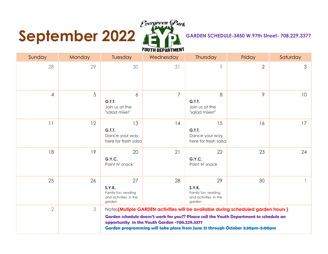# **September 2022**



| Sunday         | Monday | Tuesday                                                                       | Wednesday                                     | Thursday                                                                                                                                                                                                                                                    | Friday         | Saturday        |
|----------------|--------|-------------------------------------------------------------------------------|-----------------------------------------------|-------------------------------------------------------------------------------------------------------------------------------------------------------------------------------------------------------------------------------------------------------------|----------------|-----------------|
| 28             | 29     | 30                                                                            | 31                                            |                                                                                                                                                                                                                                                             | $\overline{2}$ | 3               |
| $\overline{4}$ | 5      | 6<br><b>G.T.T.</b><br>Join us at the<br>"salad mixe!"                         | $\overline{7}$                                | 8<br>G.T.T.<br>Join us at the<br>"salad mixer!"                                                                                                                                                                                                             | 9              | 10 <sup>°</sup> |
| 11             | 12     | 13<br>G.T.T.<br>Dance your way<br>here for fresh salsa                        | 14                                            | 15<br>G.T.T.<br>Dance your way<br>here for fresh salsa                                                                                                                                                                                                      | 16             | 17              |
| 18             | 19     | 20<br>G.Y.C.<br>Paint N' snack                                                | 21                                            | 22<br>G.Y.C.<br>Paint N' snack                                                                                                                                                                                                                              | 23             | 24              |
| 25             | 26     | 27<br><b>S.Y.K.</b><br>Family fun, reading<br>and activities in the<br>garden | 28                                            | 29<br><b>S.Y.K.</b><br>Family fun, reading<br>and activities in the<br>garden                                                                                                                                                                               | 30             |                 |
| $\overline{2}$ | 3      |                                                                               | opportunity in the Youth Garden -708.229.3377 | Notes(Mutiple GARDEN activities will be available during scheduled garden hours)<br>Garden schedule doesn't work for you?? Please call the Youth Department to schedule an<br>Garden programming will take place from June 21 through October 3:30pm-5:00pm |                |                 |